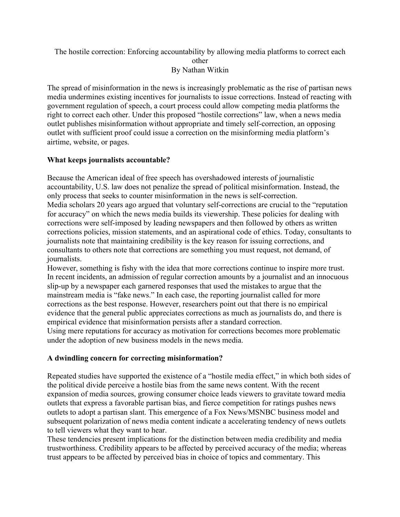#### The hostile correction: Enforcing accountability by allowing media platforms to correct each other

By Nathan Witkin

The spread of misinformation in the news is increasingly problematic as the rise of partisan news media undermines existing incentives for journalists to issue corrections. Instead of reacting with government regulation of speech, a court process could allow competing media platforms the right to correct each other. Under this proposed "hostile corrections" law, when a news media outlet publishes misinformation without appropriate and timely self-correction, an opposing outlet with sufficient proof could issue a correction on the misinforming media platform's airtime, website, or pages.

# **What keeps journalists accountable?**

Because the American ideal of free speech has overshadowed interests of journalistic accountability, U.S. law does not penalize the spread of political misinformation. Instead, the only process that seeks to counter misinformation in the news is self-correction. Media scholars 20 years ago argued that voluntary self-corrections are crucial to the "reputation for accuracy" on which the news media builds its viewership. These policies for dealing with corrections were self-imposed by leading newspapers and then followed by others as written corrections policies, mission statements, and an aspirational code of ethics. Today, consultants to journalists note that maintaining credibility is the key reason for issuing corrections, and consultants to others note that corrections are something you must request, not demand, of journalists.

However, something is fishy with the idea that more corrections continue to inspire more trust. In recent incidents, an admission of regular correction amounts by a journalist and an innocuous slip-up by a newspaper each garnered responses that used the mistakes to argue that the mainstream media is "fake news." In each case, the reporting journalist called for more corrections as the best response. However, researchers point out that there is no empirical evidence that the general public appreciates corrections as much as journalists do, and there is empirical evidence that misinformation persists after a standard correction.

Using mere reputations for accuracy as motivation for corrections becomes more problematic under the adoption of new business models in the news media.

## **A dwindling concern for correcting misinformation?**

Repeated studies have supported the existence of a "hostile media effect," in which both sides of the political divide perceive a hostile bias from the same news content. With the recent expansion of media sources, growing consumer choice leads viewers to gravitate toward media outlets that express a favorable partisan bias, and fierce competition for ratings pushes news outlets to adopt a partisan slant. This emergence of a Fox News/MSNBC business model and subsequent polarization of news media content indicate a accelerating tendency of news outlets to tell viewers what they want to hear.

These tendencies present implications for the distinction between media credibility and media trustworthiness. Credibility appears to be affected by perceived accuracy of the media; whereas trust appears to be affected by perceived bias in choice of topics and commentary. This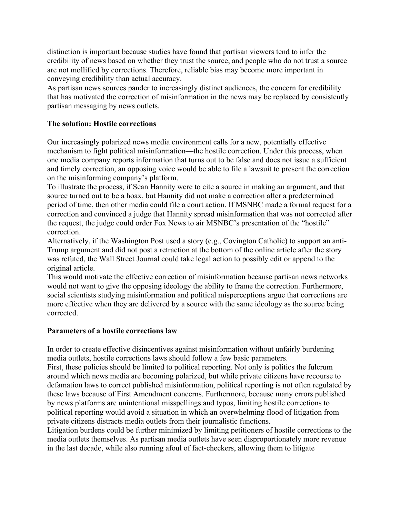distinction is important because studies have found that partisan viewers tend to infer the credibility of news based on whether they trust the source, and people who do not trust a source are not mollified by corrections. Therefore, reliable bias may become more important in conveying credibility than actual accuracy.

As partisan news sources pander to increasingly distinct audiences, the concern for credibility that has motivated the correction of misinformation in the news may be replaced by consistently partisan messaging by news outlets.

## **The solution: Hostile corrections**

Our increasingly polarized news media environment calls for a new, potentially effective mechanism to fight political misinformation—the hostile correction. Under this process, when one media company reports information that turns out to be false and does not issue a sufficient and timely correction, an opposing voice would be able to file a lawsuit to present the correction on the misinforming company's platform.

To illustrate the process, if Sean Hannity were to cite a source in making an argument, and that source turned out to be a hoax, but Hannity did not make a correction after a predetermined period of time, then other media could file a court action. If MSNBC made a formal request for a correction and convinced a judge that Hannity spread misinformation that was not corrected after the request, the judge could order Fox News to air MSNBC's presentation of the "hostile" correction.

Alternatively, if the Washington Post used a story (e.g., Covington Catholic) to support an anti-Trump argument and did not post a retraction at the bottom of the online article after the story was refuted, the Wall Street Journal could take legal action to possibly edit or append to the original article.

This would motivate the effective correction of misinformation because partisan news networks would not want to give the opposing ideology the ability to frame the correction. Furthermore, social scientists studying misinformation and political misperceptions argue that corrections are more effective when they are delivered by a source with the same ideology as the source being corrected.

#### **Parameters of a hostile corrections law**

In order to create effective disincentives against misinformation without unfairly burdening media outlets, hostile corrections laws should follow a few basic parameters.

First, these policies should be limited to political reporting. Not only is politics the fulcrum around which news media are becoming polarized, but while private citizens have recourse to defamation laws to correct published misinformation, political reporting is not often regulated by these laws because of First Amendment concerns. Furthermore, because many errors published by news platforms are unintentional misspellings and typos, limiting hostile corrections to political reporting would avoid a situation in which an overwhelming flood of litigation from private citizens distracts media outlets from their journalistic functions.

Litigation burdens could be further minimized by limiting petitioners of hostile corrections to the media outlets themselves. As partisan media outlets have seen disproportionately more revenue in the last decade, while also running afoul of fact-checkers, allowing them to litigate